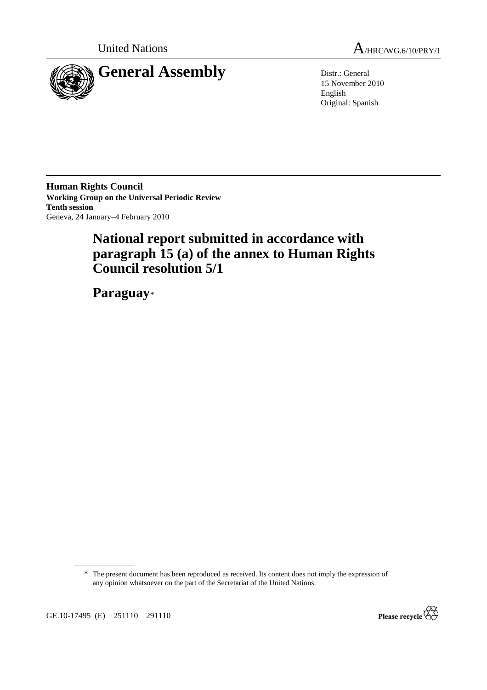



15 November 2010 English Original: Spanish

**Human Rights Council Working Group on the Universal Periodic Review Tenth session**  Geneva, 24 January–4 February 2010

# **National report submitted in accordance with paragraph 15 (a) of the annex to Human Rights Council resolution 5/1**

 **Paraguay**\*

\* The present document has been reproduced as received. Its content does not imply the expression of any opinion whatsoever on the part of the Secretariat of the United Nations.

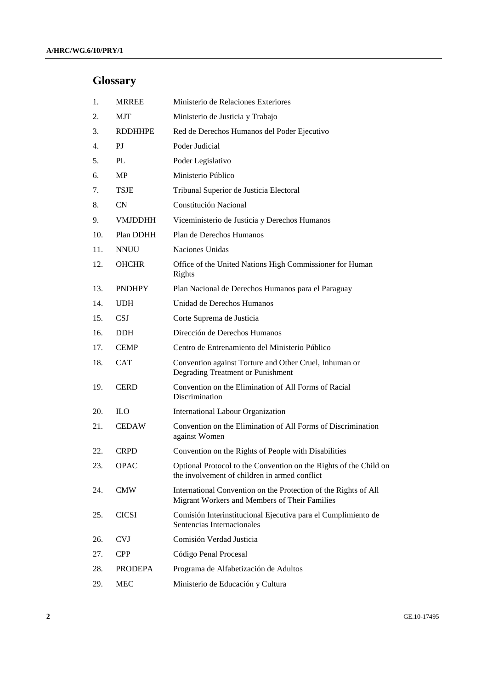# **Glossary**

| 1.  | <b>MRREE</b>   | Ministerio de Relaciones Exteriores                                                                                |
|-----|----------------|--------------------------------------------------------------------------------------------------------------------|
| 2.  | <b>MJT</b>     | Ministerio de Justicia y Trabajo                                                                                   |
| 3.  | <b>RDDHHPE</b> | Red de Derechos Humanos del Poder Ejecutivo                                                                        |
| 4.  | PI             | Poder Judicial                                                                                                     |
| 5.  | PL             | Poder Legislativo                                                                                                  |
| 6.  | <b>MP</b>      | Ministerio Público                                                                                                 |
| 7.  | <b>TSJE</b>    | Tribunal Superior de Justicia Electoral                                                                            |
| 8.  | CN             | Constitución Nacional                                                                                              |
| 9.  | <b>VMJDDHH</b> | Viceministerio de Justicia y Derechos Humanos                                                                      |
| 10. | Plan DDHH      | Plan de Derechos Humanos                                                                                           |
| 11. | <b>NNUU</b>    | Naciones Unidas                                                                                                    |
| 12. | <b>OHCHR</b>   | Office of the United Nations High Commissioner for Human<br>Rights                                                 |
| 13. | <b>PNDHPY</b>  | Plan Nacional de Derechos Humanos para el Paraguay                                                                 |
| 14. | <b>UDH</b>     | Unidad de Derechos Humanos                                                                                         |
| 15. | <b>CSJ</b>     | Corte Suprema de Justicia                                                                                          |
| 16. | <b>DDH</b>     | Dirección de Derechos Humanos                                                                                      |
| 17. | <b>CEMP</b>    | Centro de Entrenamiento del Ministerio Público                                                                     |
| 18. | <b>CAT</b>     | Convention against Torture and Other Cruel, Inhuman or<br>Degrading Treatment or Punishment                        |
| 19. | <b>CERD</b>    | Convention on the Elimination of All Forms of Racial<br>Discrimination                                             |
| 20. | <b>ILO</b>     | <b>International Labour Organization</b>                                                                           |
| 21. | <b>CEDAW</b>   | Convention on the Elimination of All Forms of Discrimination<br>against Women                                      |
| 22. | <b>CRPD</b>    | Convention on the Rights of People with Disabilities                                                               |
| 23. | <b>OPAC</b>    | Optional Protocol to the Convention on the Rights of the Child on<br>the involvement of children in armed conflict |
| 24. | <b>CMW</b>     | International Convention on the Protection of the Rights of All<br>Migrant Workers and Members of Their Families   |
| 25. | <b>CICSI</b>   | Comisión Interinstitucional Ejecutiva para el Cumplimiento de<br>Sentencias Internacionales                        |
| 26. | <b>CVJ</b>     | Comisión Verdad Justicia                                                                                           |
| 27. | <b>CPP</b>     | Código Penal Procesal                                                                                              |
| 28. | <b>PRODEPA</b> | Programa de Alfabetización de Adultos                                                                              |
| 29. | <b>MEC</b>     | Ministerio de Educación y Cultura                                                                                  |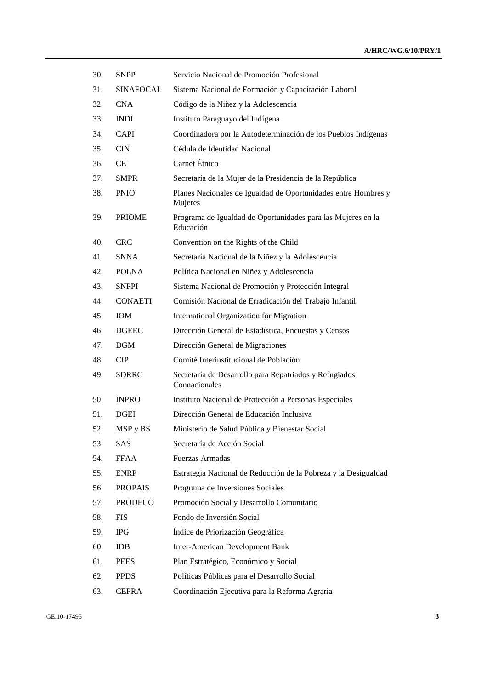| 30. | <b>SNPP</b>      | Servicio Nacional de Promoción Profesional                                |
|-----|------------------|---------------------------------------------------------------------------|
| 31. | <b>SINAFOCAL</b> | Sistema Nacional de Formación y Capacitación Laboral                      |
| 32. | <b>CNA</b>       | Código de la Niñez y la Adolescencia                                      |
| 33. | <b>INDI</b>      | Instituto Paraguayo del Indígena                                          |
| 34. | <b>CAPI</b>      | Coordinadora por la Autodeterminación de los Pueblos Indígenas            |
| 35. | <b>CIN</b>       | Cédula de Identidad Nacional                                              |
| 36. | CE.              | Carnet Étnico                                                             |
| 37. | <b>SMPR</b>      | Secretaría de la Mujer de la Presidencia de la República                  |
| 38. | <b>PNIO</b>      | Planes Nacionales de Igualdad de Oportunidades entre Hombres y<br>Mujeres |
| 39. | <b>PRIOME</b>    | Programa de Igualdad de Oportunidades para las Mujeres en la<br>Educación |
| 40. | <b>CRC</b>       | Convention on the Rights of the Child                                     |
| 41. | <b>SNNA</b>      | Secretaría Nacional de la Niñez y la Adolescencia                         |
| 42. | <b>POLNA</b>     | Política Nacional en Niñez y Adolescencia                                 |
| 43. | <b>SNPPI</b>     | Sistema Nacional de Promoción y Protección Integral                       |
| 44. | <b>CONAETI</b>   | Comisión Nacional de Erradicación del Trabajo Infantil                    |
| 45. | <b>IOM</b>       | International Organization for Migration                                  |
| 46. | <b>DGEEC</b>     | Dirección General de Estadística, Encuestas y Censos                      |
| 47. | <b>DGM</b>       | Dirección General de Migraciones                                          |
| 48. | <b>CIP</b>       | Comité Interinstitucional de Población                                    |
| 49. | <b>SDRRC</b>     | Secretaría de Desarrollo para Repatriados y Refugiados<br>Connacionales   |
| 50. | <b>INPRO</b>     | Instituto Nacional de Protección a Personas Especiales                    |
| 51. | <b>DGEI</b>      | Dirección General de Educación Inclusiva                                  |
| 52. | MSP y BS         | Ministerio de Salud Pública y Bienestar Social                            |
| 53. | SAS              | Secretaría de Acción Social                                               |
| 54. | <b>FFAA</b>      | Fuerzas Armadas                                                           |
| 55. | <b>ENRP</b>      | Estrategia Nacional de Reducción de la Pobreza y la Desigualdad           |
| 56. | <b>PROPAIS</b>   | Programa de Inversiones Sociales                                          |
| 57. | <b>PRODECO</b>   | Promoción Social y Desarrollo Comunitario                                 |
| 58. | <b>FIS</b>       | Fondo de Inversión Social                                                 |
| 59. | <b>IPG</b>       | Índice de Priorización Geográfica                                         |
| 60. | <b>IDB</b>       | <b>Inter-American Development Bank</b>                                    |
| 61. | <b>PEES</b>      | Plan Estratégico, Económico y Social                                      |
| 62. | <b>PPDS</b>      | Políticas Públicas para el Desarrollo Social                              |
| 63. | <b>CEPRA</b>     | Coordinación Ejecutiva para la Reforma Agraria                            |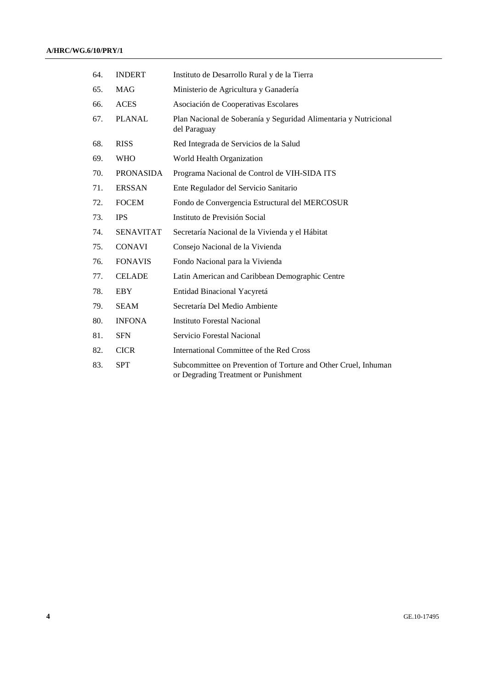| 64. | <b>INDERT</b>    | Instituto de Desarrollo Rural y de la Tierra                                                           |
|-----|------------------|--------------------------------------------------------------------------------------------------------|
| 65. | <b>MAG</b>       | Ministerio de Agricultura y Ganadería                                                                  |
| 66. | <b>ACES</b>      | Asociación de Cooperativas Escolares                                                                   |
| 67. | <b>PLANAL</b>    | Plan Nacional de Soberanía y Seguridad Alimentaria y Nutricional<br>del Paraguay                       |
| 68. | <b>RISS</b>      | Red Integrada de Servicios de la Salud                                                                 |
| 69. | <b>WHO</b>       | World Health Organization                                                                              |
| 70. | <b>PRONASIDA</b> | Programa Nacional de Control de VIH-SIDA ITS                                                           |
| 71. | <b>ERSSAN</b>    | Ente Regulador del Servicio Sanitario                                                                  |
| 72. | <b>FOCEM</b>     | Fondo de Convergencia Estructural del MERCOSUR                                                         |
| 73. | <b>IPS</b>       | Instituto de Previsión Social                                                                          |
| 74. | <b>SENAVITAT</b> | Secretaría Nacional de la Vivienda y el Hábitat                                                        |
| 75. | <b>CONAVI</b>    | Consejo Nacional de la Vivienda                                                                        |
| 76. | <b>FONAVIS</b>   | Fondo Nacional para la Vivienda                                                                        |
| 77. | <b>CELADE</b>    | Latin American and Caribbean Demographic Centre                                                        |
| 78. | <b>EBY</b>       | Entidad Binacional Yacyretá                                                                            |
| 79. | <b>SEAM</b>      | Secretaría Del Medio Ambiente                                                                          |
| 80. | <b>INFONA</b>    | <b>Instituto Forestal Nacional</b>                                                                     |
| 81. | <b>SFN</b>       | Servicio Forestal Nacional                                                                             |
| 82. | <b>CICR</b>      | International Committee of the Red Cross                                                               |
| 83. | <b>SPT</b>       | Subcommittee on Prevention of Torture and Other Cruel, Inhuman<br>or Degrading Treatment or Punishment |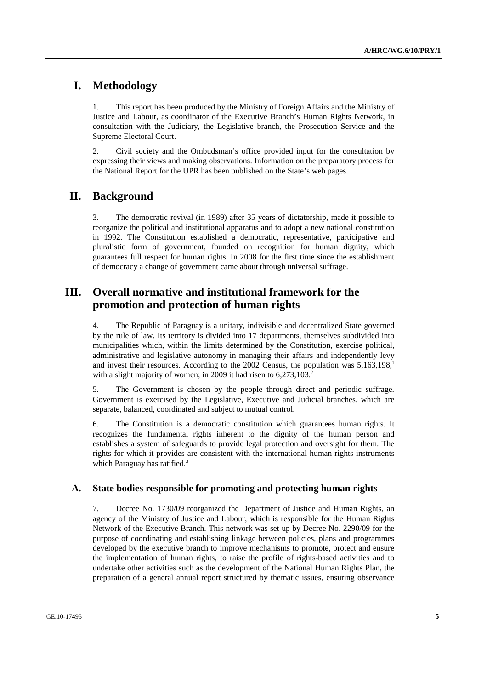# **I. Methodology**

1. This report has been produced by the Ministry of Foreign Affairs and the Ministry of Justice and Labour, as coordinator of the Executive Branch's Human Rights Network, in consultation with the Judiciary, the Legislative branch, the Prosecution Service and the Supreme Electoral Court.

2. Civil society and the Ombudsman's office provided input for the consultation by expressing their views and making observations. Information on the preparatory process for the National Report for the UPR has been published on the State's web pages.

# **II. Background**

3. The democratic revival (in 1989) after 35 years of dictatorship, made it possible to reorganize the political and institutional apparatus and to adopt a new national constitution in 1992. The Constitution established a democratic, representative, participative and pluralistic form of government, founded on recognition for human dignity, which guarantees full respect for human rights. In 2008 for the first time since the establishment of democracy a change of government came about through universal suffrage.

# **III. Overall normative and institutional framework for the promotion and protection of human rights**

4. The Republic of Paraguay is a unitary, indivisible and decentralized State governed by the rule of law. Its territory is divided into 17 departments, themselves subdivided into municipalities which, within the limits determined by the Constitution, exercise political, administrative and legislative autonomy in managing their affairs and independently levy and invest their resources. According to the 2002 Census, the population was  $5.163.198$ <sup>1</sup> with a slight majority of women; in 2009 it had risen to  $6.273.103<sup>2</sup>$ .

5. The Government is chosen by the people through direct and periodic suffrage. Government is exercised by the Legislative, Executive and Judicial branches, which are separate, balanced, coordinated and subject to mutual control.

6. The Constitution is a democratic constitution which guarantees human rights. It recognizes the fundamental rights inherent to the dignity of the human person and establishes a system of safeguards to provide legal protection and oversight for them. The rights for which it provides are consistent with the international human rights instruments which Paraguay has ratified.<sup>3</sup>

#### **A. State bodies responsible for promoting and protecting human rights**

7. Decree No. 1730/09 reorganized the Department of Justice and Human Rights, an agency of the Ministry of Justice and Labour, which is responsible for the Human Rights Network of the Executive Branch. This network was set up by Decree No. 2290/09 for the purpose of coordinating and establishing linkage between policies, plans and programmes developed by the executive branch to improve mechanisms to promote, protect and ensure the implementation of human rights, to raise the profile of rights-based activities and to undertake other activities such as the development of the National Human Rights Plan, the preparation of a general annual report structured by thematic issues, ensuring observance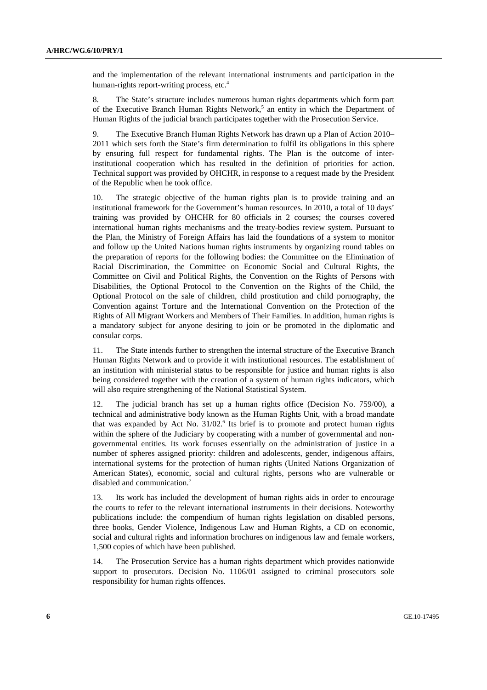and the implementation of the relevant international instruments and participation in the human-rights report-writing process, etc.<sup>4</sup>

8. The State's structure includes numerous human rights departments which form part of the Executive Branch Human Rights Network,<sup>5</sup> an entity in which the Department of Human Rights of the judicial branch participates together with the Prosecution Service.

9. The Executive Branch Human Rights Network has drawn up a Plan of Action 2010– 2011 which sets forth the State's firm determination to fulfil its obligations in this sphere by ensuring full respect for fundamental rights. The Plan is the outcome of interinstitutional cooperation which has resulted in the definition of priorities for action. Technical support was provided by OHCHR, in response to a request made by the President of the Republic when he took office.

10. The strategic objective of the human rights plan is to provide training and an institutional framework for the Government's human resources. In 2010, a total of 10 days' training was provided by OHCHR for 80 officials in 2 courses; the courses covered international human rights mechanisms and the treaty-bodies review system. Pursuant to the Plan, the Ministry of Foreign Affairs has laid the foundations of a system to monitor and follow up the United Nations human rights instruments by organizing round tables on the preparation of reports for the following bodies: the Committee on the Elimination of Racial Discrimination, the Committee on Economic Social and Cultural Rights, the Committee on Civil and Political Rights, the Convention on the Rights of Persons with Disabilities, the Optional Protocol to the Convention on the Rights of the Child, the Optional Protocol on the sale of children, child prostitution and child pornography, the Convention against Torture and the International Convention on the Protection of the Rights of All Migrant Workers and Members of Their Families. In addition, human rights is a mandatory subject for anyone desiring to join or be promoted in the diplomatic and consular corps.

11. The State intends further to strengthen the internal structure of the Executive Branch Human Rights Network and to provide it with institutional resources. The establishment of an institution with ministerial status to be responsible for justice and human rights is also being considered together with the creation of a system of human rights indicators, which will also require strengthening of the National Statistical System.

12. The judicial branch has set up a human rights office (Decision No. 759/00), a technical and administrative body known as the Human Rights Unit, with a broad mandate that was expanded by Act No.  $31/02$ .<sup>6</sup> Its brief is to promote and protect human rights within the sphere of the Judiciary by cooperating with a number of governmental and nongovernmental entities. Its work focuses essentially on the administration of justice in a number of spheres assigned priority: children and adolescents, gender, indigenous affairs, international systems for the protection of human rights (United Nations Organization of American States), economic, social and cultural rights, persons who are vulnerable or disabled and communication.<sup>7</sup>

13. Its work has included the development of human rights aids in order to encourage the courts to refer to the relevant international instruments in their decisions. Noteworthy publications include: the compendium of human rights legislation on disabled persons, three books, Gender Violence, Indigenous Law and Human Rights, a CD on economic, social and cultural rights and information brochures on indigenous law and female workers, 1,500 copies of which have been published.

14. The Prosecution Service has a human rights department which provides nationwide support to prosecutors. Decision No. 1106/01 assigned to criminal prosecutors sole responsibility for human rights offences.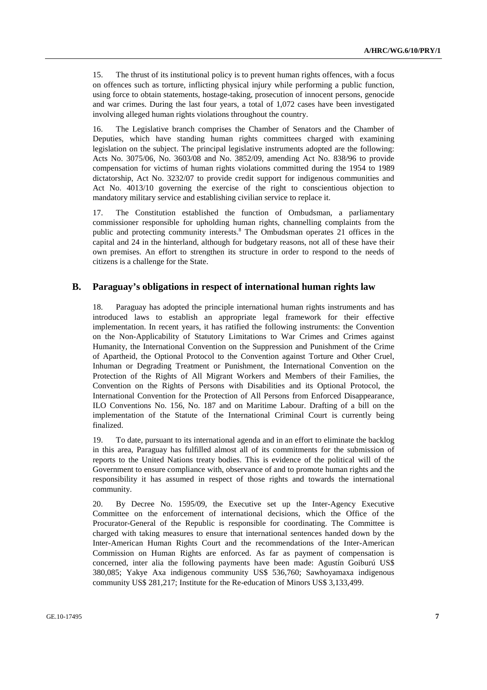15. The thrust of its institutional policy is to prevent human rights offences, with a focus on offences such as torture, inflicting physical injury while performing a public function, using force to obtain statements, hostage-taking, prosecution of innocent persons, genocide and war crimes. During the last four years, a total of 1,072 cases have been investigated involving alleged human rights violations throughout the country.

16. The Legislative branch comprises the Chamber of Senators and the Chamber of Deputies, which have standing human rights committees charged with examining legislation on the subject. The principal legislative instruments adopted are the following: Acts No. 3075/06, No. 3603/08 and No. 3852/09, amending Act No. 838/96 to provide compensation for victims of human rights violations committed during the 1954 to 1989 dictatorship, Act No. 3232/07 to provide credit support for indigenous communities and Act No. 4013/10 governing the exercise of the right to conscientious objection to mandatory military service and establishing civilian service to replace it.

17. The Constitution established the function of Ombudsman, a parliamentary commissioner responsible for upholding human rights, channelling complaints from the public and protecting community interests.<sup>8</sup> The Ombudsman operates 21 offices in the capital and 24 in the hinterland, although for budgetary reasons, not all of these have their own premises. An effort to strengthen its structure in order to respond to the needs of citizens is a challenge for the State.

#### **B. Paraguay's obligations in respect of international human rights law**

18. Paraguay has adopted the principle international human rights instruments and has introduced laws to establish an appropriate legal framework for their effective implementation. In recent years, it has ratified the following instruments: the Convention on the Non-Applicability of Statutory Limitations to War Crimes and Crimes against Humanity, the International Convention on the Suppression and Punishment of the Crime of Apartheid, the Optional Protocol to the Convention against Torture and Other Cruel, Inhuman or Degrading Treatment or Punishment, the International Convention on the Protection of the Rights of All Migrant Workers and Members of their Families, the Convention on the Rights of Persons with Disabilities and its Optional Protocol, the International Convention for the Protection of All Persons from Enforced Disappearance, ILO Conventions No. 156, No. 187 and on Maritime Labour. Drafting of a bill on the implementation of the Statute of the International Criminal Court is currently being finalized.

19. To date, pursuant to its international agenda and in an effort to eliminate the backlog in this area, Paraguay has fulfilled almost all of its commitments for the submission of reports to the United Nations treaty bodies. This is evidence of the political will of the Government to ensure compliance with, observance of and to promote human rights and the responsibility it has assumed in respect of those rights and towards the international community.

20. By Decree No. 1595/09, the Executive set up the Inter-Agency Executive Committee on the enforcement of international decisions, which the Office of the Procurator-General of the Republic is responsible for coordinating. The Committee is charged with taking measures to ensure that international sentences handed down by the Inter-American Human Rights Court and the recommendations of the Inter-American Commission on Human Rights are enforced. As far as payment of compensation is concerned, inter alia the following payments have been made: Agustín Goiburú US\$ 380,085; Yakye Axa indigenous community US\$ 536,760; Sawhoyamaxa indigenous community US\$ 281,217; Institute for the Re-education of Minors US\$ 3,133,499.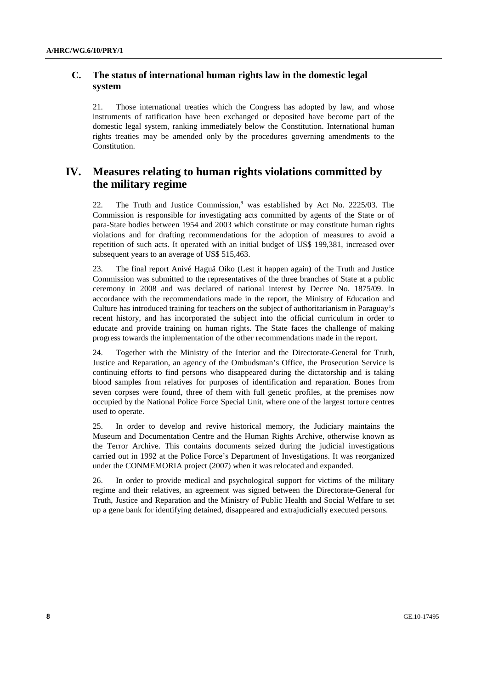## **C. The status of international human rights law in the domestic legal system**

21. Those international treaties which the Congress has adopted by law, and whose instruments of ratification have been exchanged or deposited have become part of the domestic legal system, ranking immediately below the Constitution. International human rights treaties may be amended only by the procedures governing amendments to the Constitution.

# **IV. Measures relating to human rights violations committed by the military regime**

22. The Truth and Justice Commission,<sup>9</sup> was established by Act No. 2225/03. The Commission is responsible for investigating acts committed by agents of the State or of para-State bodies between 1954 and 2003 which constitute or may constitute human rights violations and for drafting recommendations for the adoption of measures to avoid a repetition of such acts. It operated with an initial budget of US\$ 199,381, increased over subsequent years to an average of US\$ 515,463.

23. The final report Anivé Haguä Oiko (Lest it happen again) of the Truth and Justice Commission was submitted to the representatives of the three branches of State at a public ceremony in 2008 and was declared of national interest by Decree No. 1875/09. In accordance with the recommendations made in the report, the Ministry of Education and Culture has introduced training for teachers on the subject of authoritarianism in Paraguay's recent history, and has incorporated the subject into the official curriculum in order to educate and provide training on human rights. The State faces the challenge of making progress towards the implementation of the other recommendations made in the report.

24. Together with the Ministry of the Interior and the Directorate-General for Truth, Justice and Reparation, an agency of the Ombudsman's Office, the Prosecution Service is continuing efforts to find persons who disappeared during the dictatorship and is taking blood samples from relatives for purposes of identification and reparation. Bones from seven corpses were found, three of them with full genetic profiles, at the premises now occupied by the National Police Force Special Unit, where one of the largest torture centres used to operate.

25. In order to develop and revive historical memory, the Judiciary maintains the Museum and Documentation Centre and the Human Rights Archive, otherwise known as the Terror Archive. This contains documents seized during the judicial investigations carried out in 1992 at the Police Force's Department of Investigations. It was reorganized under the CONMEMORIA project (2007) when it was relocated and expanded.

26. In order to provide medical and psychological support for victims of the military regime and their relatives, an agreement was signed between the Directorate-General for Truth, Justice and Reparation and the Ministry of Public Health and Social Welfare to set up a gene bank for identifying detained, disappeared and extrajudicially executed persons.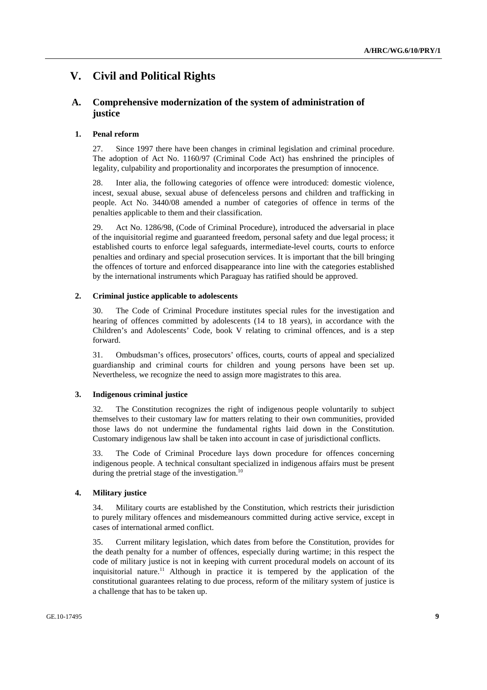# **V. Civil and Political Rights**

## **A. Comprehensive modernization of the system of administration of justice**

#### **1. Penal reform**

27. Since 1997 there have been changes in criminal legislation and criminal procedure. The adoption of Act No. 1160/97 (Criminal Code Act) has enshrined the principles of legality, culpability and proportionality and incorporates the presumption of innocence.

28. Inter alia, the following categories of offence were introduced: domestic violence, incest, sexual abuse, sexual abuse of defenceless persons and children and trafficking in people. Act No. 3440/08 amended a number of categories of offence in terms of the penalties applicable to them and their classification.

29. Act No. 1286/98, (Code of Criminal Procedure), introduced the adversarial in place of the inquisitorial regime and guaranteed freedom, personal safety and due legal process; it established courts to enforce legal safeguards, intermediate-level courts, courts to enforce penalties and ordinary and special prosecution services. It is important that the bill bringing the offences of torture and enforced disappearance into line with the categories established by the international instruments which Paraguay has ratified should be approved.

#### **2. Criminal justice applicable to adolescents**

30. The Code of Criminal Procedure institutes special rules for the investigation and hearing of offences committed by adolescents (14 to 18 years), in accordance with the Children's and Adolescents' Code, book V relating to criminal offences, and is a step forward.

31. Ombudsman's offices, prosecutors' offices, courts, courts of appeal and specialized guardianship and criminal courts for children and young persons have been set up. Nevertheless, we recognize the need to assign more magistrates to this area.

#### **3. Indigenous criminal justice**

32. The Constitution recognizes the right of indigenous people voluntarily to subject themselves to their customary law for matters relating to their own communities, provided those laws do not undermine the fundamental rights laid down in the Constitution. Customary indigenous law shall be taken into account in case of jurisdictional conflicts.

33. The Code of Criminal Procedure lays down procedure for offences concerning indigenous people. A technical consultant specialized in indigenous affairs must be present during the pretrial stage of the investigation. $10$ 

#### **4. Military justice**

34. Military courts are established by the Constitution, which restricts their jurisdiction to purely military offences and misdemeanours committed during active service, except in cases of international armed conflict.

35. Current military legislation, which dates from before the Constitution, provides for the death penalty for a number of offences, especially during wartime; in this respect the code of military justice is not in keeping with current procedural models on account of its inquisitorial nature.<sup>11</sup> Although in practice it is tempered by the application of the constitutional guarantees relating to due process, reform of the military system of justice is a challenge that has to be taken up.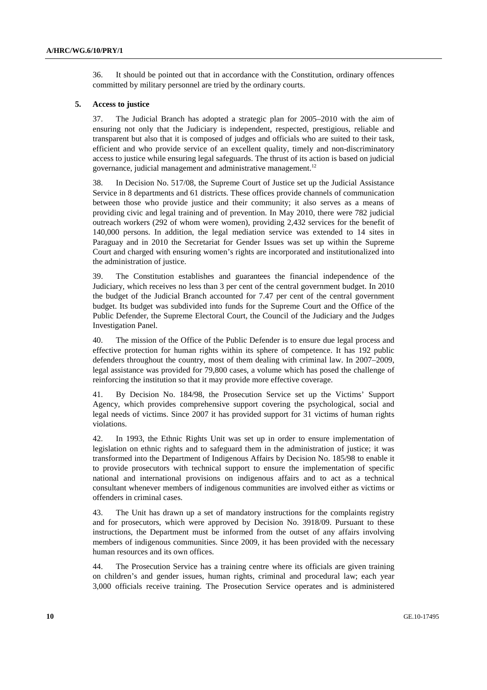36. It should be pointed out that in accordance with the Constitution, ordinary offences committed by military personnel are tried by the ordinary courts.

#### **5. Access to justice**

37. The Judicial Branch has adopted a strategic plan for 2005–2010 with the aim of ensuring not only that the Judiciary is independent, respected, prestigious, reliable and transparent but also that it is composed of judges and officials who are suited to their task, efficient and who provide service of an excellent quality, timely and non-discriminatory access to justice while ensuring legal safeguards. The thrust of its action is based on judicial governance, judicial management and administrative management.<sup>12</sup>

38. In Decision No. 517/08, the Supreme Court of Justice set up the Judicial Assistance Service in 8 departments and 61 districts. These offices provide channels of communication between those who provide justice and their community; it also serves as a means of providing civic and legal training and of prevention. In May 2010, there were 782 judicial outreach workers (292 of whom were women), providing 2,432 services for the benefit of 140,000 persons. In addition, the legal mediation service was extended to 14 sites in Paraguay and in 2010 the Secretariat for Gender Issues was set up within the Supreme Court and charged with ensuring women's rights are incorporated and institutionalized into the administration of justice.

39. The Constitution establishes and guarantees the financial independence of the Judiciary, which receives no less than 3 per cent of the central government budget. In 2010 the budget of the Judicial Branch accounted for 7.47 per cent of the central government budget. Its budget was subdivided into funds for the Supreme Court and the Office of the Public Defender, the Supreme Electoral Court, the Council of the Judiciary and the Judges Investigation Panel.

40. The mission of the Office of the Public Defender is to ensure due legal process and effective protection for human rights within its sphere of competence. It has 192 public defenders throughout the country, most of them dealing with criminal law. In 2007–2009, legal assistance was provided for 79,800 cases, a volume which has posed the challenge of reinforcing the institution so that it may provide more effective coverage.

41. By Decision No. 184/98, the Prosecution Service set up the Victims' Support Agency, which provides comprehensive support covering the psychological, social and legal needs of victims. Since 2007 it has provided support for 31 victims of human rights violations.

42. In 1993, the Ethnic Rights Unit was set up in order to ensure implementation of legislation on ethnic rights and to safeguard them in the administration of justice; it was transformed into the Department of Indigenous Affairs by Decision No. 185/98 to enable it to provide prosecutors with technical support to ensure the implementation of specific national and international provisions on indigenous affairs and to act as a technical consultant whenever members of indigenous communities are involved either as victims or offenders in criminal cases.

43. The Unit has drawn up a set of mandatory instructions for the complaints registry and for prosecutors, which were approved by Decision No. 3918/09. Pursuant to these instructions, the Department must be informed from the outset of any affairs involving members of indigenous communities. Since 2009, it has been provided with the necessary human resources and its own offices.

44. The Prosecution Service has a training centre where its officials are given training on children's and gender issues, human rights, criminal and procedural law; each year 3,000 officials receive training. The Prosecution Service operates and is administered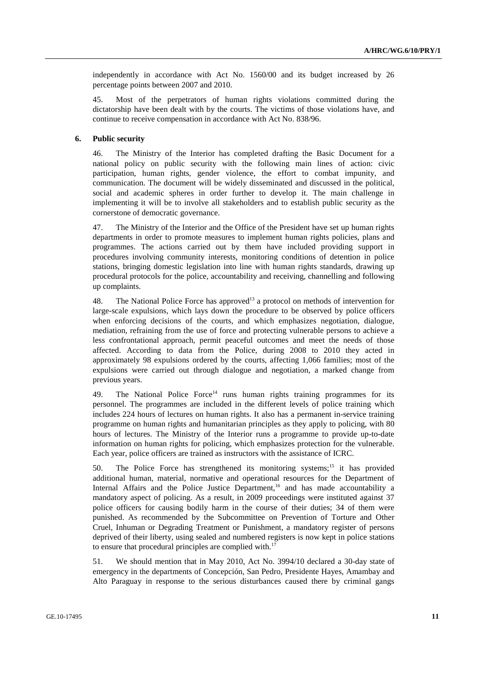independently in accordance with Act No. 1560/00 and its budget increased by 26 percentage points between 2007 and 2010.

45. Most of the perpetrators of human rights violations committed during the dictatorship have been dealt with by the courts. The victims of those violations have, and continue to receive compensation in accordance with Act No. 838/96.

## **6. Public security**

46. The Ministry of the Interior has completed drafting the Basic Document for a national policy on public security with the following main lines of action: civic participation, human rights, gender violence, the effort to combat impunity, and communication. The document will be widely disseminated and discussed in the political, social and academic spheres in order further to develop it. The main challenge in implementing it will be to involve all stakeholders and to establish public security as the cornerstone of democratic governance.

47. The Ministry of the Interior and the Office of the President have set up human rights departments in order to promote measures to implement human rights policies, plans and programmes. The actions carried out by them have included providing support in procedures involving community interests, monitoring conditions of detention in police stations, bringing domestic legislation into line with human rights standards, drawing up procedural protocols for the police, accountability and receiving, channelling and following up complaints.

48. The National Police Force has approved<sup>13</sup> a protocol on methods of intervention for large-scale expulsions, which lays down the procedure to be observed by police officers when enforcing decisions of the courts, and which emphasizes negotiation, dialogue, mediation, refraining from the use of force and protecting vulnerable persons to achieve a less confrontational approach, permit peaceful outcomes and meet the needs of those affected. According to data from the Police, during 2008 to 2010 they acted in approximately 98 expulsions ordered by the courts, affecting 1,066 families; most of the expulsions were carried out through dialogue and negotiation, a marked change from previous years.

49. The National Police Force<sup>14</sup> runs human rights training programmes for its personnel. The programmes are included in the different levels of police training which includes 224 hours of lectures on human rights. It also has a permanent in-service training programme on human rights and humanitarian principles as they apply to policing, with 80 hours of lectures. The Ministry of the Interior runs a programme to provide up-to-date information on human rights for policing, which emphasizes protection for the vulnerable. Each year, police officers are trained as instructors with the assistance of ICRC.

50. The Police Force has strengthened its monitoring systems;<sup>15</sup> it has provided additional human, material, normative and operational resources for the Department of Internal Affairs and the Police Justice Department,<sup>16</sup> and has made accountability a mandatory aspect of policing. As a result, in 2009 proceedings were instituted against 37 police officers for causing bodily harm in the course of their duties; 34 of them were punished. As recommended by the Subcommittee on Prevention of Torture and Other Cruel, Inhuman or Degrading Treatment or Punishment, a mandatory register of persons deprived of their liberty, using sealed and numbered registers is now kept in police stations to ensure that procedural principles are complied with.<sup>1</sup>

51. We should mention that in May 2010, Act No. 3994/10 declared a 30-day state of emergency in the departments of Concepción, San Pedro, Presidente Hayes, Amambay and Alto Paraguay in response to the serious disturbances caused there by criminal gangs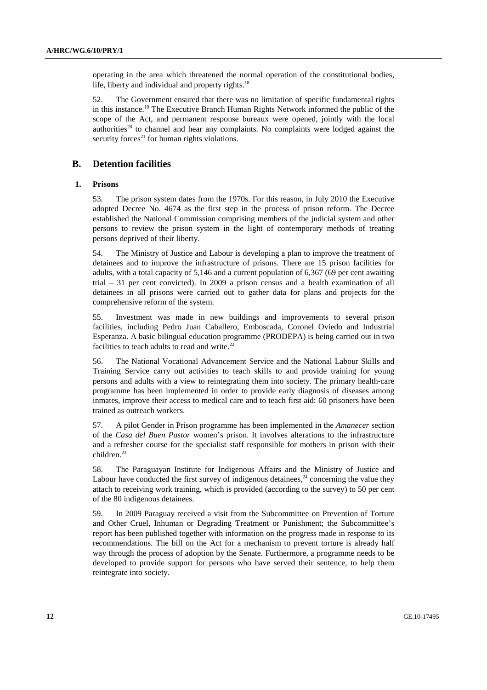operating in the area which threatened the normal operation of the constitutional bodies, life, liberty and individual and property rights. $18$ 

52. The Government ensured that there was no limitation of specific fundamental rights in this instance.19 The Executive Branch Human Rights Network informed the public of the scope of the Act, and permanent response bureaux were opened, jointly with the local authorities<sup>20</sup> to channel and hear any complaints. No complaints were lodged against the security forces $21$  for human rights violations.

#### **B. Detention facilities**

#### **1. Prisons**

53. The prison system dates from the 1970s. For this reason, in July 2010 the Executive adopted Decree No. 4674 as the first step in the process of prison reform. The Decree established the National Commission comprising members of the judicial system and other persons to review the prison system in the light of contemporary methods of treating persons deprived of their liberty.

54. The Ministry of Justice and Labour is developing a plan to improve the treatment of detainees and to improve the infrastructure of prisons. There are 15 prison facilities for adults, with a total capacity of 5,146 and a current population of 6,367 (69 per cent awaiting trial – 31 per cent convicted). In 2009 a prison census and a health examination of all detainees in all prisons were carried out to gather data for plans and projects for the comprehensive reform of the system.

55. Investment was made in new buildings and improvements to several prison facilities, including Pedro Juan Caballero, Emboscada, Coronel Oviedo and Industrial Esperanza. A basic bilingual education programme (PRODEPA) is being carried out in two facilities to teach adults to read and write.<sup>22</sup>

56. The National Vocational Advancement Service and the National Labour Skills and Training Service carry out activities to teach skills to and provide training for young persons and adults with a view to reintegrating them into society. The primary health-care programme has been implemented in order to provide early diagnosis of diseases among inmates, improve their access to medical care and to teach first aid: 60 prisoners have been trained as outreach workers.

57. A pilot Gender in Prison programme has been implemented in the *Amanecer* section of the *Casa del Buen Pastor* women's prison. It involves alterations to the infrastructure and a refresher course for the specialist staff responsible for mothers in prison with their children.23

58. The Paraguayan Institute for Indigenous Affairs and the Ministry of Justice and Labour have conducted the first survey of indigenous detainees,  $24$  concerning the value they attach to receiving work training, which is provided (according to the survey) to 50 per cent of the 80 indigenous detainees.

59. In 2009 Paraguay received a visit from the Subcommittee on Prevention of Torture and Other Cruel, Inhuman or Degrading Treatment or Punishment; the Subcommittee's report has been published together with information on the progress made in response to its recommendations. The bill on the Act for a mechanism to prevent torture is already half way through the process of adoption by the Senate. Furthermore, a programme needs to be developed to provide support for persons who have served their sentence, to help them reintegrate into society.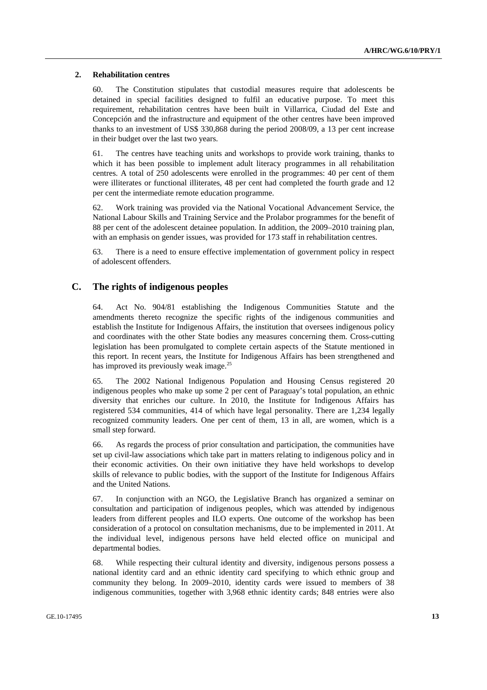#### **2. Rehabilitation centres**

60. The Constitution stipulates that custodial measures require that adolescents be detained in special facilities designed to fulfil an educative purpose. To meet this requirement, rehabilitation centres have been built in Villarrica, Ciudad del Este and Concepción and the infrastructure and equipment of the other centres have been improved thanks to an investment of US\$ 330,868 during the period 2008/09, a 13 per cent increase in their budget over the last two years.

61. The centres have teaching units and workshops to provide work training, thanks to which it has been possible to implement adult literacy programmes in all rehabilitation centres. A total of 250 adolescents were enrolled in the programmes: 40 per cent of them were illiterates or functional illiterates, 48 per cent had completed the fourth grade and 12 per cent the intermediate remote education programme.

62. Work training was provided via the National Vocational Advancement Service, the National Labour Skills and Training Service and the Prolabor programmes for the benefit of 88 per cent of the adolescent detainee population. In addition, the 2009–2010 training plan, with an emphasis on gender issues, was provided for 173 staff in rehabilitation centres.

63. There is a need to ensure effective implementation of government policy in respect of adolescent offenders.

#### **C. The rights of indigenous peoples**

64. Act No. 904/81 establishing the Indigenous Communities Statute and the amendments thereto recognize the specific rights of the indigenous communities and establish the Institute for Indigenous Affairs, the institution that oversees indigenous policy and coordinates with the other State bodies any measures concerning them. Cross-cutting legislation has been promulgated to complete certain aspects of the Statute mentioned in this report. In recent years, the Institute for Indigenous Affairs has been strengthened and has improved its previously weak image.<sup>25</sup>

65. The 2002 National Indigenous Population and Housing Census registered 20 indigenous peoples who make up some 2 per cent of Paraguay's total population, an ethnic diversity that enriches our culture. In 2010, the Institute for Indigenous Affairs has registered 534 communities, 414 of which have legal personality. There are 1,234 legally recognized community leaders. One per cent of them, 13 in all, are women, which is a small step forward.

66. As regards the process of prior consultation and participation, the communities have set up civil-law associations which take part in matters relating to indigenous policy and in their economic activities. On their own initiative they have held workshops to develop skills of relevance to public bodies, with the support of the Institute for Indigenous Affairs and the United Nations.

67. In conjunction with an NGO, the Legislative Branch has organized a seminar on consultation and participation of indigenous peoples, which was attended by indigenous leaders from different peoples and ILO experts. One outcome of the workshop has been consideration of a protocol on consultation mechanisms, due to be implemented in 2011. At the individual level, indigenous persons have held elected office on municipal and departmental bodies.

68. While respecting their cultural identity and diversity, indigenous persons possess a national identity card and an ethnic identity card specifying to which ethnic group and community they belong. In 2009–2010, identity cards were issued to members of 38 indigenous communities, together with 3,968 ethnic identity cards; 848 entries were also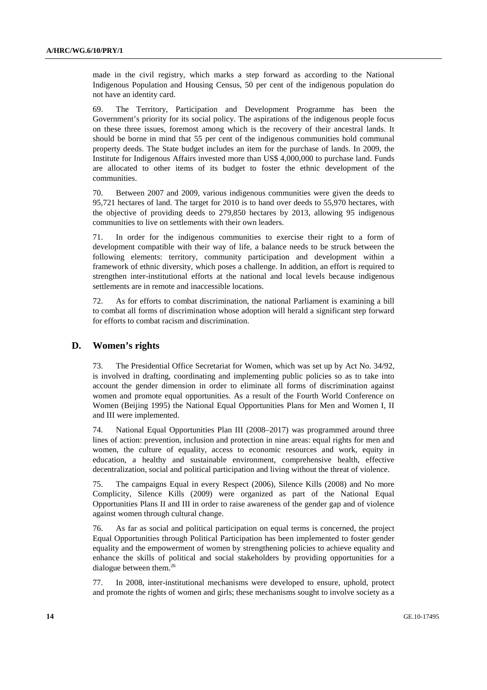made in the civil registry, which marks a step forward as according to the National Indigenous Population and Housing Census, 50 per cent of the indigenous population do not have an identity card.

69. The Territory, Participation and Development Programme has been the Government's priority for its social policy. The aspirations of the indigenous people focus on these three issues, foremost among which is the recovery of their ancestral lands. It should be borne in mind that 55 per cent of the indigenous communities hold communal property deeds. The State budget includes an item for the purchase of lands. In 2009, the Institute for Indigenous Affairs invested more than US\$ 4,000,000 to purchase land. Funds are allocated to other items of its budget to foster the ethnic development of the communities.

70. Between 2007 and 2009, various indigenous communities were given the deeds to 95,721 hectares of land. The target for 2010 is to hand over deeds to 55,970 hectares, with the objective of providing deeds to 279,850 hectares by 2013, allowing 95 indigenous communities to live on settlements with their own leaders.

71. In order for the indigenous communities to exercise their right to a form of development compatible with their way of life, a balance needs to be struck between the following elements: territory, community participation and development within a framework of ethnic diversity, which poses a challenge. In addition, an effort is required to strengthen inter-institutional efforts at the national and local levels because indigenous settlements are in remote and inaccessible locations.

72. As for efforts to combat discrimination, the national Parliament is examining a bill to combat all forms of discrimination whose adoption will herald a significant step forward for efforts to combat racism and discrimination.

#### **D. Women's rights**

73. The Presidential Office Secretariat for Women, which was set up by Act No. 34/92, is involved in drafting, coordinating and implementing public policies so as to take into account the gender dimension in order to eliminate all forms of discrimination against women and promote equal opportunities. As a result of the Fourth World Conference on Women (Beijing 1995) the National Equal Opportunities Plans for Men and Women I, II and III were implemented.

74. National Equal Opportunities Plan III (2008–2017) was programmed around three lines of action: prevention, inclusion and protection in nine areas: equal rights for men and women, the culture of equality, access to economic resources and work, equity in education, a healthy and sustainable environment, comprehensive health, effective decentralization, social and political participation and living without the threat of violence.

75. The campaigns Equal in every Respect (2006), Silence Kills (2008) and No more Complicity, Silence Kills (2009) were organized as part of the National Equal Opportunities Plans II and III in order to raise awareness of the gender gap and of violence against women through cultural change.

76. As far as social and political participation on equal terms is concerned, the project Equal Opportunities through Political Participation has been implemented to foster gender equality and the empowerment of women by strengthening policies to achieve equality and enhance the skills of political and social stakeholders by providing opportunities for a dialogue between them.<sup>26</sup>

77. In 2008, inter-institutional mechanisms were developed to ensure, uphold, protect and promote the rights of women and girls; these mechanisms sought to involve society as a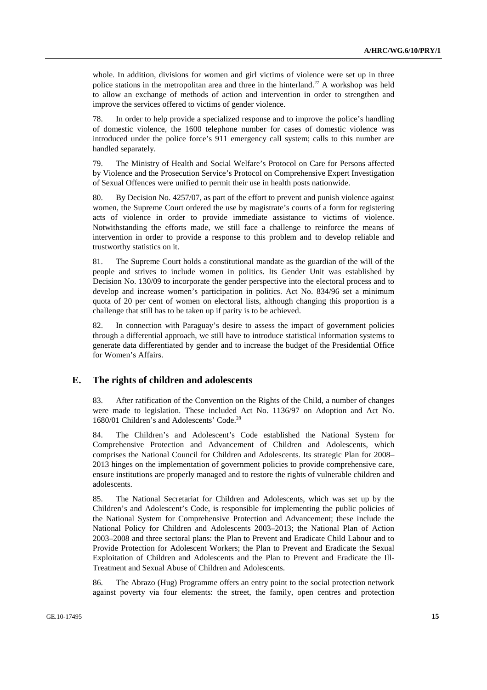whole. In addition, divisions for women and girl victims of violence were set up in three police stations in the metropolitan area and three in the hinterland.<sup>27</sup> A workshop was held to allow an exchange of methods of action and intervention in order to strengthen and improve the services offered to victims of gender violence.

78. In order to help provide a specialized response and to improve the police's handling of domestic violence, the 1600 telephone number for cases of domestic violence was introduced under the police force's 911 emergency call system; calls to this number are handled separately.

79. The Ministry of Health and Social Welfare's Protocol on Care for Persons affected by Violence and the Prosecution Service's Protocol on Comprehensive Expert Investigation of Sexual Offences were unified to permit their use in health posts nationwide.

80. By Decision No. 4257/07, as part of the effort to prevent and punish violence against women, the Supreme Court ordered the use by magistrate's courts of a form for registering acts of violence in order to provide immediate assistance to victims of violence. Notwithstanding the efforts made, we still face a challenge to reinforce the means of intervention in order to provide a response to this problem and to develop reliable and trustworthy statistics on it.

81. The Supreme Court holds a constitutional mandate as the guardian of the will of the people and strives to include women in politics. Its Gender Unit was established by Decision No. 130/09 to incorporate the gender perspective into the electoral process and to develop and increase women's participation in politics. Act No. 834/96 set a minimum quota of 20 per cent of women on electoral lists, although changing this proportion is a challenge that still has to be taken up if parity is to be achieved.

82. In connection with Paraguay's desire to assess the impact of government policies through a differential approach, we still have to introduce statistical information systems to generate data differentiated by gender and to increase the budget of the Presidential Office for Women's Affairs.

### **E. The rights of children and adolescents**

83. After ratification of the Convention on the Rights of the Child, a number of changes were made to legislation. These included Act No. 1136/97 on Adoption and Act No. 1680/01 Children's and Adolescents' Code.28

84. The Children's and Adolescent's Code established the National System for Comprehensive Protection and Advancement of Children and Adolescents, which comprises the National Council for Children and Adolescents. Its strategic Plan for 2008– 2013 hinges on the implementation of government policies to provide comprehensive care, ensure institutions are properly managed and to restore the rights of vulnerable children and adolescents.

85. The National Secretariat for Children and Adolescents, which was set up by the Children's and Adolescent's Code, is responsible for implementing the public policies of the National System for Comprehensive Protection and Advancement; these include the National Policy for Children and Adolescents 2003–2013; the National Plan of Action 2003–2008 and three sectoral plans: the Plan to Prevent and Eradicate Child Labour and to Provide Protection for Adolescent Workers; the Plan to Prevent and Eradicate the Sexual Exploitation of Children and Adolescents and the Plan to Prevent and Eradicate the Ill-Treatment and Sexual Abuse of Children and Adolescents.

86. The Abrazo (Hug) Programme offers an entry point to the social protection network against poverty via four elements: the street, the family, open centres and protection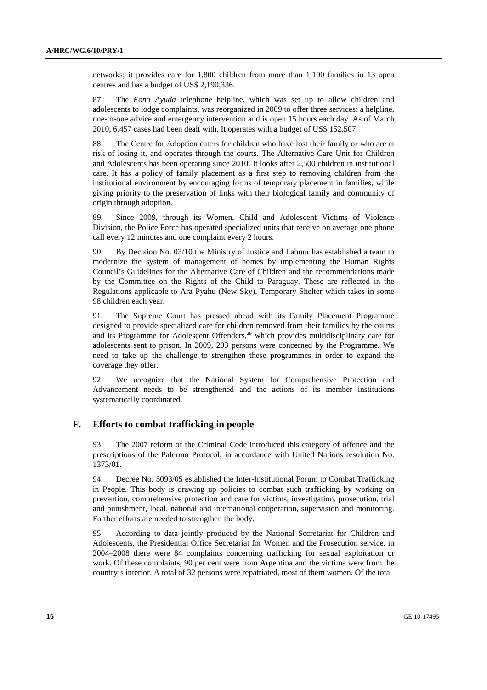networks; it provides care for 1,800 children from more than 1,100 families in 13 open centres and has a budget of US\$ 2,190,336.

87. The *Fono Ayuda* telephone helpline, which was set up to allow children and adolescents to lodge complaints, was reorganized in 2009 to offer three services: a helpline, one-to-one advice and emergency intervention and is open 15 hours each day. As of March 2010, 6,457 cases had been dealt with. It operates with a budget of US\$ 152,507.

88. The Centre for Adoption caters for children who have lost their family or who are at risk of losing it, and operates through the courts. The Alternative Care Unit for Children and Adolescents has been operating since 2010. It looks after 2,500 children in institutional care. It has a policy of family placement as a first step to removing children from the institutional environment by encouraging forms of temporary placement in families, while giving priority to the preservation of links with their biological family and community of origin through adoption.

89. Since 2009, through its Women, Child and Adolescent Victims of Violence Division, the Police Force has operated specialized units that receive on average one phone call every 12 minutes and one complaint every 2 hours.

90. By Decision No. 03/10 the Ministry of Justice and Labour has established a team to modernize the system of management of homes by implementing the Human Rights Council's Guidelines for the Alternative Care of Children and the recommendations made by the Committee on the Rights of the Child to Paraguay. These are reflected in the Regulations applicable to Ara Pyahu (New Sky), Temporary Shelter which takes in some 98 children each year.

91. The Supreme Court has pressed ahead with its Family Placement Programme designed to provide specialized care for children removed from their families by the courts and its Programme for Adolescent Offenders,<sup>29</sup> which provides multidisciplinary care for adolescents sent to prison. In 2009, 203 persons were concerned by the Programme. We need to take up the challenge to strengthen these programmes in order to expand the coverage they offer.

92. We recognize that the National System for Comprehensive Protection and Advancement needs to be strengthened and the actions of its member institutions systematically coordinated.

#### **F. Efforts to combat trafficking in people**

93. The 2007 reform of the Criminal Code introduced this category of offence and the prescriptions of the Palermo Protocol, in accordance with United Nations resolution No. 1373/01.

94. Decree No. 5093/05 established the Inter-Institutional Forum to Combat Trafficking in People. This body is drawing up policies to combat such trafficking by working on prevention, comprehensive protection and care for victims, investigation, prosecution, trial and punishment, local, national and international cooperation, supervision and monitoring. Further efforts are needed to strengthen the body.

95. According to data jointly produced by the National Secretariat for Children and Adolescents, the Presidential Office Secretariat for Women and the Prosecution service, in 2004–2008 there were 84 complaints concerning trafficking for sexual exploitation or work. Of these complaints, 90 per cent were from Argentina and the victims were from the country's interior. A total of 32 persons were repatriated, most of them women. Of the total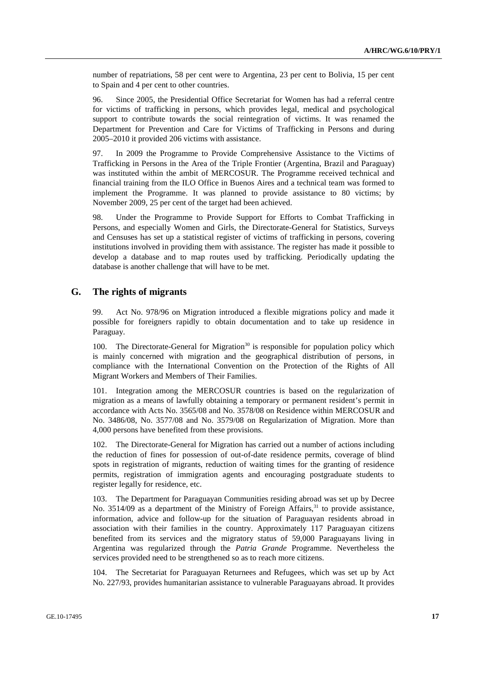number of repatriations, 58 per cent were to Argentina, 23 per cent to Bolivia, 15 per cent to Spain and 4 per cent to other countries.

96. Since 2005, the Presidential Office Secretariat for Women has had a referral centre for victims of trafficking in persons, which provides legal, medical and psychological support to contribute towards the social reintegration of victims. It was renamed the Department for Prevention and Care for Victims of Trafficking in Persons and during 2005–2010 it provided 206 victims with assistance.

97. In 2009 the Programme to Provide Comprehensive Assistance to the Victims of Trafficking in Persons in the Area of the Triple Frontier (Argentina, Brazil and Paraguay) was instituted within the ambit of MERCOSUR. The Programme received technical and financial training from the ILO Office in Buenos Aires and a technical team was formed to implement the Programme. It was planned to provide assistance to 80 victims; by November 2009, 25 per cent of the target had been achieved.

98. Under the Programme to Provide Support for Efforts to Combat Trafficking in Persons, and especially Women and Girls, the Directorate-General for Statistics, Surveys and Censuses has set up a statistical register of victims of trafficking in persons, covering institutions involved in providing them with assistance. The register has made it possible to develop a database and to map routes used by trafficking. Periodically updating the database is another challenge that will have to be met.

#### **G. The rights of migrants**

99. Act No. 978/96 on Migration introduced a flexible migrations policy and made it possible for foreigners rapidly to obtain documentation and to take up residence in Paraguay.

100. The Directorate-General for Migration<sup>30</sup> is responsible for population policy which is mainly concerned with migration and the geographical distribution of persons, in compliance with the International Convention on the Protection of the Rights of All Migrant Workers and Members of Their Families.

101. Integration among the MERCOSUR countries is based on the regularization of migration as a means of lawfully obtaining a temporary or permanent resident's permit in accordance with Acts No. 3565/08 and No. 3578/08 on Residence within MERCOSUR and No. 3486/08, No. 3577/08 and No. 3579/08 on Regularization of Migration. More than 4,000 persons have benefited from these provisions.

102. The Directorate-General for Migration has carried out a number of actions including the reduction of fines for possession of out-of-date residence permits, coverage of blind spots in registration of migrants, reduction of waiting times for the granting of residence permits, registration of immigration agents and encouraging postgraduate students to register legally for residence, etc.

103. The Department for Paraguayan Communities residing abroad was set up by Decree No.  $3514/09$  as a department of the Ministry of Foreign Affairs,  $31$  to provide assistance, information, advice and follow-up for the situation of Paraguayan residents abroad in association with their families in the country. Approximately 117 Paraguayan citizens benefited from its services and the migratory status of 59,000 Paraguayans living in Argentina was regularized through the *Patria Grande* Programme. Nevertheless the services provided need to be strengthened so as to reach more citizens.

104. The Secretariat for Paraguayan Returnees and Refugees, which was set up by Act No. 227/93, provides humanitarian assistance to vulnerable Paraguayans abroad. It provides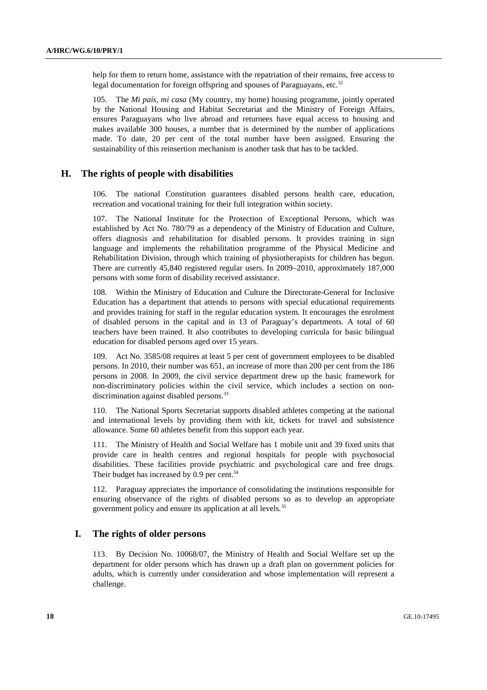help for them to return home, assistance with the repatriation of their remains, free access to legal documentation for foreign offspring and spouses of Paraguayans, etc. $32$ 

105. The *Mi país, mi casa* (My country, my home) housing programme, jointly operated by the National Housing and Habitat Secretariat and the Ministry of Foreign Affairs, ensures Paraguayans who live abroad and returnees have equal access to housing and makes available 300 houses, a number that is determined by the number of applications made. To date, 20 per cent of the total number have been assigned. Ensuring the sustainability of this reinsertion mechanism is another task that has to be tackled.

#### **H. The rights of people with disabilities**

106. The national Constitution guarantees disabled persons health care, education, recreation and vocational training for their full integration within society.

107. The National Institute for the Protection of Exceptional Persons, which was established by Act No. 780/79 as a dependency of the Ministry of Education and Culture, offers diagnosis and rehabilitation for disabled persons. It provides training in sign language and implements the rehabilitation programme of the Physical Medicine and Rehabilitation Division, through which training of physiotherapists for children has begun. There are currently 45,840 registered regular users. In 2009–2010, approximately 187,000 persons with some form of disability received assistance.

108. Within the Ministry of Education and Culture the Directorate-General for Inclusive Education has a department that attends to persons with special educational requirements and provides training for staff in the regular education system. It encourages the enrolment of disabled persons in the capital and in 13 of Paraguay's departments. A total of 60 teachers have been trained. It also contributes to developing curricula for basic bilingual education for disabled persons aged over 15 years.

109. Act No. 3585/08 requires at least 5 per cent of government employees to be disabled persons. In 2010, their number was 651, an increase of more than 200 per cent from the 186 persons in 2008. In 2009, the civil service department drew up the basic framework for non-discriminatory policies within the civil service, which includes a section on nondiscrimination against disabled persons.<sup>33</sup>

110. The National Sports Secretariat supports disabled athletes competing at the national and international levels by providing them with kit, tickets for travel and subsistence allowance. Some 60 athletes benefit from this support each year.

111. The Ministry of Health and Social Welfare has 1 mobile unit and 39 fixed units that provide care in health centres and regional hospitals for people with psychosocial disabilities. These facilities provide psychiatric and psychological care and free drugs. Their budget has increased by  $0.9$  per cent.<sup>34</sup>

112. Paraguay appreciates the importance of consolidating the institutions responsible for ensuring observance of the rights of disabled persons so as to develop an appropriate government policy and ensure its application at all levels*.* 35

## **I. The rights of older persons**

113. By Decision No. 10068/07, the Ministry of Health and Social Welfare set up the department for older persons which has drawn up a draft plan on government policies for adults, which is currently under consideration and whose implementation will represent a challenge.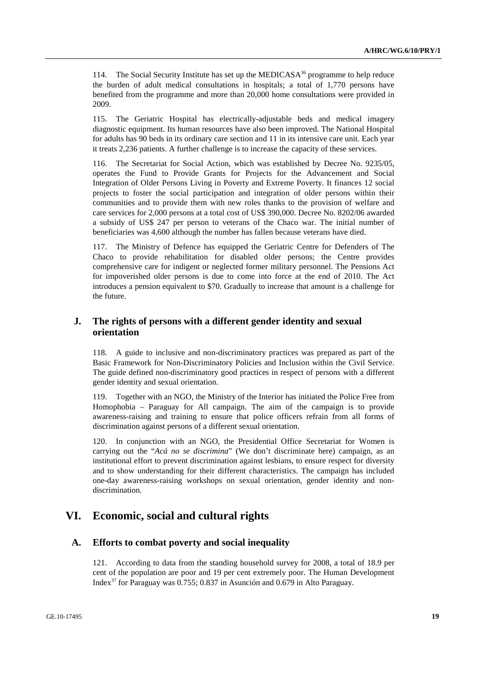114. The Social Security Institute has set up the MEDICASA<sup>36</sup> programme to help reduce the burden of adult medical consultations in hospitals; a total of 1,770 persons have benefited from the programme and more than 20,000 home consultations were provided in 2009.

115. The Geriatric Hospital has electrically-adjustable beds and medical imagery diagnostic equipment. Its human resources have also been improved. The National Hospital for adults has 90 beds in its ordinary care section and 11 in its intensive care unit. Each year it treats 2,236 patients. A further challenge is to increase the capacity of these services.

116. The Secretariat for Social Action, which was established by Decree No. 9235/05, operates the Fund to Provide Grants for Projects for the Advancement and Social Integration of Older Persons Living in Poverty and Extreme Poverty. It finances 12 social projects to foster the social participation and integration of older persons within their communities and to provide them with new roles thanks to the provision of welfare and care services for 2,000 persons at a total cost of US\$ 390,000. Decree No. 8202/06 awarded a subsidy of US\$ 247 per person to veterans of the Chaco war. The initial number of beneficiaries was 4,600 although the number has fallen because veterans have died.

117. The Ministry of Defence has equipped the Geriatric Centre for Defenders of The Chaco to provide rehabilitation for disabled older persons; the Centre provides comprehensive care for indigent or neglected former military personnel. The Pensions Act for impoverished older persons is due to come into force at the end of 2010. The Act introduces a pension equivalent to \$70. Gradually to increase that amount is a challenge for the future.

## **J. The rights of persons with a different gender identity and sexual orientation**

118. A guide to inclusive and non-discriminatory practices was prepared as part of the Basic Framework for Non-Discriminatory Policies and Inclusion within the Civil Service. The guide defined non-discriminatory good practices in respect of persons with a different gender identity and sexual orientation.

119. Together with an NGO, the Ministry of the Interior has initiated the Police Free from Homophobia – Paraguay for All campaign. The aim of the campaign is to provide awareness-raising and training to ensure that police officers refrain from all forms of discrimination against persons of a different sexual orientation.

120. In conjunction with an NGO, the Presidential Office Secretariat for Women is carrying out the "*Acá no se discrimina*" (We don't discriminate here) campaign, as an institutional effort to prevent discrimination against lesbians, to ensure respect for diversity and to show understanding for their different characteristics. The campaign has included one-day awareness-raising workshops on sexual orientation, gender identity and nondiscrimination.

# **VI. Economic, social and cultural rights**

## **A. Efforts to combat poverty and social inequality**

121. According to data from the standing household survey for 2008, a total of 18.9 per cent of the population are poor and 19 per cent extremely poor. The Human Development Index37 for Paraguay was 0.755; 0.837 in Asunción and 0.679 in Alto Paraguay.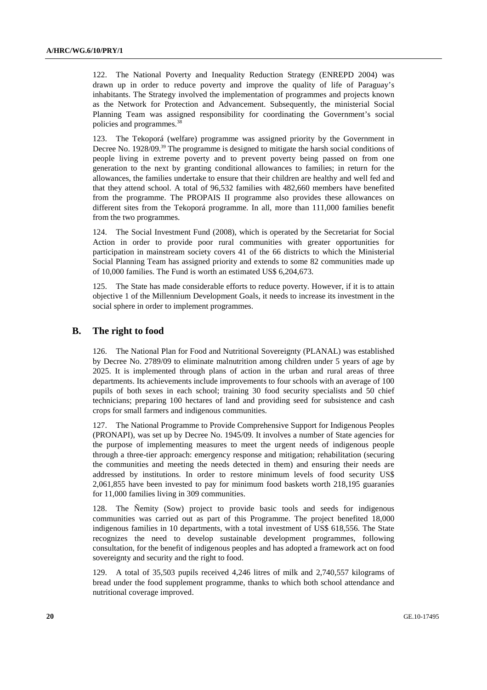122. The National Poverty and Inequality Reduction Strategy (ENREPD 2004) was drawn up in order to reduce poverty and improve the quality of life of Paraguay's inhabitants. The Strategy involved the implementation of programmes and projects known as the Network for Protection and Advancement. Subsequently, the ministerial Social Planning Team was assigned responsibility for coordinating the Government's social policies and programmes.38

123. The Tekoporá (welfare) programme was assigned priority by the Government in Decree No. 1928/09.39 The programme is designed to mitigate the harsh social conditions of people living in extreme poverty and to prevent poverty being passed on from one generation to the next by granting conditional allowances to families; in return for the allowances, the families undertake to ensure that their children are healthy and well fed and that they attend school. A total of 96,532 families with 482,660 members have benefited from the programme. The PROPAIS II programme also provides these allowances on different sites from the Tekoporá programme. In all, more than 111,000 families benefit from the two programmes.

124. The Social Investment Fund (2008), which is operated by the Secretariat for Social Action in order to provide poor rural communities with greater opportunities for participation in mainstream society covers 41 of the 66 districts to which the Ministerial Social Planning Team has assigned priority and extends to some 82 communities made up of 10,000 families. The Fund is worth an estimated US\$ 6,204,673.

125. The State has made considerable efforts to reduce poverty. However, if it is to attain objective 1 of the Millennium Development Goals, it needs to increase its investment in the social sphere in order to implement programmes.

#### **B. The right to food**

126. The National Plan for Food and Nutritional Sovereignty (PLANAL) was established by Decree No. 2789/09 to eliminate malnutrition among children under 5 years of age by 2025. It is implemented through plans of action in the urban and rural areas of three departments. Its achievements include improvements to four schools with an average of 100 pupils of both sexes in each school; training 30 food security specialists and 50 chief technicians; preparing 100 hectares of land and providing seed for subsistence and cash crops for small farmers and indigenous communities.

127. The National Programme to Provide Comprehensive Support for Indigenous Peoples (PRONAPI), was set up by Decree No. 1945/09. It involves a number of State agencies for the purpose of implementing measures to meet the urgent needs of indigenous people through a three-tier approach: emergency response and mitigation; rehabilitation (securing the communities and meeting the needs detected in them) and ensuring their needs are addressed by institutions. In order to restore minimum levels of food security US\$ 2,061,855 have been invested to pay for minimum food baskets worth 218,195 guaraníes for 11,000 families living in 309 communities.

128. The Ñemity (Sow) project to provide basic tools and seeds for indigenous communities was carried out as part of this Programme. The project benefited 18,000 indigenous families in 10 departments, with a total investment of US\$ 618,556. The State recognizes the need to develop sustainable development programmes, following consultation, for the benefit of indigenous peoples and has adopted a framework act on food sovereignty and security and the right to food.

129. A total of 35,503 pupils received 4,246 litres of milk and 2,740,557 kilograms of bread under the food supplement programme, thanks to which both school attendance and nutritional coverage improved.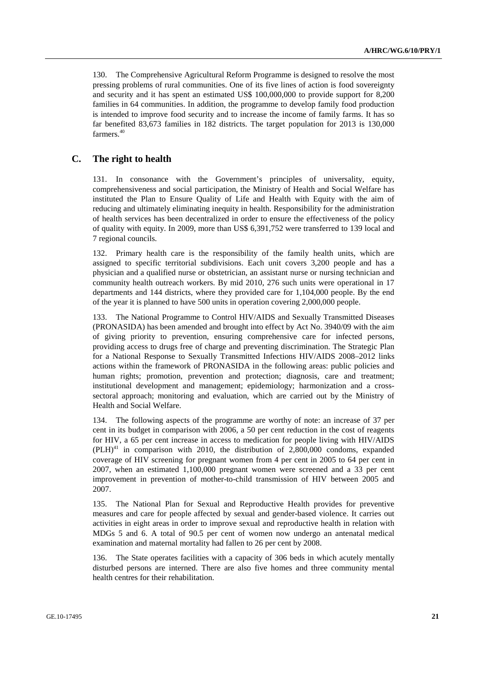130. The Comprehensive Agricultural Reform Programme is designed to resolve the most pressing problems of rural communities. One of its five lines of action is food sovereignty and security and it has spent an estimated US\$ 100,000,000 to provide support for 8,200 families in 64 communities. In addition, the programme to develop family food production is intended to improve food security and to increase the income of family farms. It has so far benefited 83,673 families in 182 districts. The target population for 2013 is 130,000 farmers.<sup>40</sup>

## **C. The right to health**

131. In consonance with the Government's principles of universality, equity, comprehensiveness and social participation, the Ministry of Health and Social Welfare has instituted the Plan to Ensure Quality of Life and Health with Equity with the aim of reducing and ultimately eliminating inequity in health. Responsibility for the administration of health services has been decentralized in order to ensure the effectiveness of the policy of quality with equity. In 2009, more than US\$ 6,391,752 were transferred to 139 local and 7 regional councils.

132. Primary health care is the responsibility of the family health units, which are assigned to specific territorial subdivisions. Each unit covers 3,200 people and has a physician and a qualified nurse or obstetrician, an assistant nurse or nursing technician and community health outreach workers. By mid 2010, 276 such units were operational in 17 departments and 144 districts, where they provided care for 1,104,000 people. By the end of the year it is planned to have 500 units in operation covering 2,000,000 people.

133. The National Programme to Control HIV/AIDS and Sexually Transmitted Diseases (PRONASIDA) has been amended and brought into effect by Act No. 3940/09 with the aim of giving priority to prevention, ensuring comprehensive care for infected persons, providing access to drugs free of charge and preventing discrimination. The Strategic Plan for a National Response to Sexually Transmitted Infections HIV/AIDS 2008–2012 links actions within the framework of PRONASIDA in the following areas: public policies and human rights; promotion, prevention and protection; diagnosis, care and treatment; institutional development and management; epidemiology; harmonization and a crosssectoral approach; monitoring and evaluation, which are carried out by the Ministry of Health and Social Welfare.

134. The following aspects of the programme are worthy of note: an increase of 37 per cent in its budget in comparison with 2006, a 50 per cent reduction in the cost of reagents for HIV, a 65 per cent increase in access to medication for people living with HIV/AIDS  $(PLH)<sup>41</sup>$  in comparison with 2010, the distribution of 2,800,000 condoms, expanded coverage of HIV screening for pregnant women from 4 per cent in 2005 to 64 per cent in 2007, when an estimated 1,100,000 pregnant women were screened and a 33 per cent improvement in prevention of mother-to-child transmission of HIV between 2005 and 2007.

135. The National Plan for Sexual and Reproductive Health provides for preventive measures and care for people affected by sexual and gender-based violence. It carries out activities in eight areas in order to improve sexual and reproductive health in relation with MDGs 5 and 6. A total of 90.5 per cent of women now undergo an antenatal medical examination and maternal mortality had fallen to 26 per cent by 2008.

136. The State operates facilities with a capacity of 306 beds in which acutely mentally disturbed persons are interned. There are also five homes and three community mental health centres for their rehabilitation.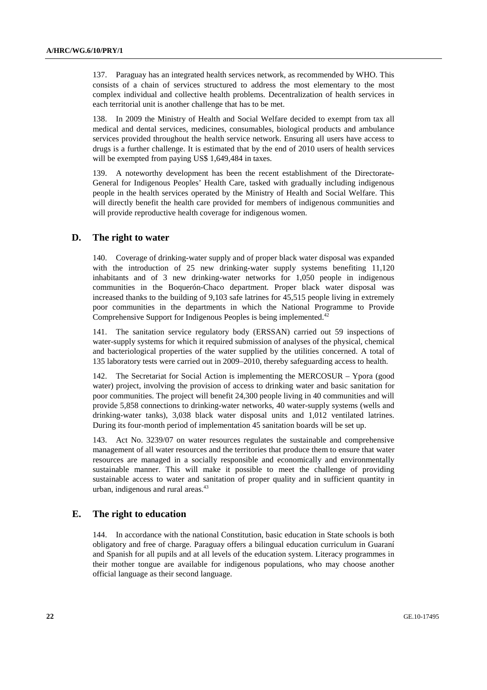137. Paraguay has an integrated health services network, as recommended by WHO. This consists of a chain of services structured to address the most elementary to the most complex individual and collective health problems. Decentralization of health services in each territorial unit is another challenge that has to be met.

138. In 2009 the Ministry of Health and Social Welfare decided to exempt from tax all medical and dental services, medicines, consumables, biological products and ambulance services provided throughout the health service network. Ensuring all users have access to drugs is a further challenge. It is estimated that by the end of 2010 users of health services will be exempted from paying US\$ 1,649,484 in taxes.

139. A noteworthy development has been the recent establishment of the Directorate-General for Indigenous Peoples' Health Care, tasked with gradually including indigenous people in the health services operated by the Ministry of Health and Social Welfare. This will directly benefit the health care provided for members of indigenous communities and will provide reproductive health coverage for indigenous women.

#### **D. The right to water**

140. Coverage of drinking-water supply and of proper black water disposal was expanded with the introduction of 25 new drinking-water supply systems benefiting 11,120 inhabitants and of 3 new drinking-water networks for 1,050 people in indigenous communities in the Boquerón-Chaco department. Proper black water disposal was increased thanks to the building of 9,103 safe latrines for 45,515 people living in extremely poor communities in the departments in which the National Programme to Provide Comprehensive Support for Indigenous Peoples is being implemented.<sup>42</sup>

141. The sanitation service regulatory body (ERSSAN) carried out 59 inspections of water-supply systems for which it required submission of analyses of the physical, chemical and bacteriological properties of the water supplied by the utilities concerned. A total of 135 laboratory tests were carried out in 2009–2010, thereby safeguarding access to health.

142. The Secretariat for Social Action is implementing the MERCOSUR – Ypora (good water) project, involving the provision of access to drinking water and basic sanitation for poor communities. The project will benefit 24,300 people living in 40 communities and will provide 5,858 connections to drinking-water networks, 40 water-supply systems (wells and drinking-water tanks), 3,038 black water disposal units and 1,012 ventilated latrines. During its four-month period of implementation 45 sanitation boards will be set up.

143. Act No. 3239/07 on water resources regulates the sustainable and comprehensive management of all water resources and the territories that produce them to ensure that water resources are managed in a socially responsible and economically and environmentally sustainable manner. This will make it possible to meet the challenge of providing sustainable access to water and sanitation of proper quality and in sufficient quantity in urban, indigenous and rural areas.<sup>43</sup>

#### **E. The right to education**

144. In accordance with the national Constitution, basic education in State schools is both obligatory and free of charge. Paraguay offers a bilingual education curriculum in Guaraní and Spanish for all pupils and at all levels of the education system. Literacy programmes in their mother tongue are available for indigenous populations, who may choose another official language as their second language.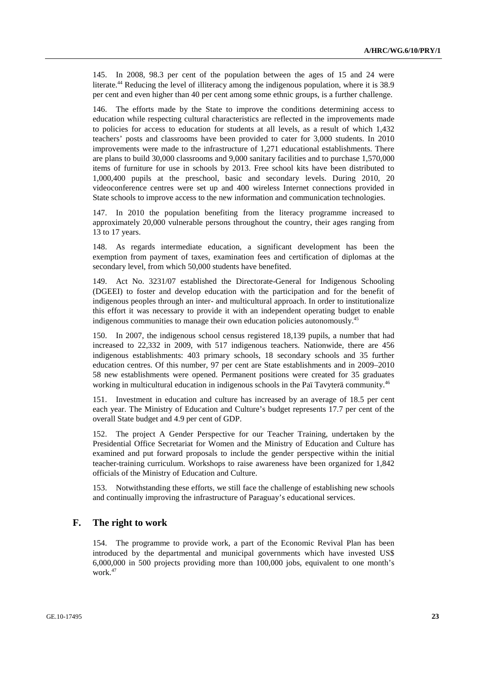145. In 2008, 98.3 per cent of the population between the ages of 15 and 24 were literate.<sup>44</sup> Reducing the level of illiteracy among the indigenous population, where it is 38.9 per cent and even higher than 40 per cent among some ethnic groups, is a further challenge.

146. The efforts made by the State to improve the conditions determining access to education while respecting cultural characteristics are reflected in the improvements made to policies for access to education for students at all levels, as a result of which 1,432 teachers' posts and classrooms have been provided to cater for 3,000 students. In 2010 improvements were made to the infrastructure of 1,271 educational establishments. There are plans to build 30,000 classrooms and 9,000 sanitary facilities and to purchase 1,570,000 items of furniture for use in schools by 2013. Free school kits have been distributed to 1,000,400 pupils at the preschool, basic and secondary levels. During 2010, 20 videoconference centres were set up and 400 wireless Internet connections provided in State schools to improve access to the new information and communication technologies.

147. In 2010 the population benefiting from the literacy programme increased to approximately 20,000 vulnerable persons throughout the country, their ages ranging from 13 to 17 years.

148. As regards intermediate education, a significant development has been the exemption from payment of taxes, examination fees and certification of diplomas at the secondary level, from which 50,000 students have benefited.

149. Act No. 3231/07 established the Directorate-General for Indigenous Schooling (DGEEI) to foster and develop education with the participation and for the benefit of indigenous peoples through an inter- and multicultural approach. In order to institutionalize this effort it was necessary to provide it with an independent operating budget to enable indigenous communities to manage their own education policies autonomously.<sup>45</sup>

150. In 2007, the indigenous school census registered 18,139 pupils, a number that had increased to 22,332 in 2009, with 517 indigenous teachers. Nationwide, there are 456 indigenous establishments: 403 primary schools, 18 secondary schools and 35 further education centres. Of this number, 97 per cent are State establishments and in 2009–2010 58 new establishments were opened. Permanent positions were created for 35 graduates working in multicultural education in indigenous schools in the Paï Tavyterä community.<sup>46</sup>

151. Investment in education and culture has increased by an average of 18.5 per cent each year. The Ministry of Education and Culture's budget represents 17.7 per cent of the overall State budget and 4.9 per cent of GDP.

152. The project A Gender Perspective for our Teacher Training, undertaken by the Presidential Office Secretariat for Women and the Ministry of Education and Culture has examined and put forward proposals to include the gender perspective within the initial teacher-training curriculum. Workshops to raise awareness have been organized for 1,842 officials of the Ministry of Education and Culture.

153. Notwithstanding these efforts, we still face the challenge of establishing new schools and continually improving the infrastructure of Paraguay's educational services.

#### **F. The right to work**

154. The programme to provide work, a part of the Economic Revival Plan has been introduced by the departmental and municipal governments which have invested US\$ 6,000,000 in 500 projects providing more than 100,000 jobs, equivalent to one month's work.47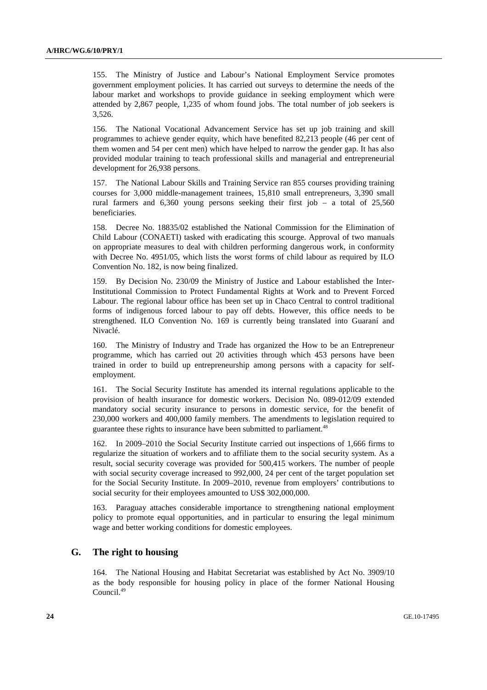155. The Ministry of Justice and Labour's National Employment Service promotes government employment policies. It has carried out surveys to determine the needs of the labour market and workshops to provide guidance in seeking employment which were attended by 2,867 people, 1,235 of whom found jobs. The total number of job seekers is 3,526.

156. The National Vocational Advancement Service has set up job training and skill programmes to achieve gender equity, which have benefited 82,213 people (46 per cent of them women and 54 per cent men) which have helped to narrow the gender gap. It has also provided modular training to teach professional skills and managerial and entrepreneurial development for 26,938 persons.

157. The National Labour Skills and Training Service ran 855 courses providing training courses for 3,000 middle-management trainees, 15,810 small entrepreneurs, 3,390 small rural farmers and 6,360 young persons seeking their first job – a total of 25,560 beneficiaries.

158. Decree No. 18835/02 established the National Commission for the Elimination of Child Labour (CONAETI) tasked with eradicating this scourge. Approval of two manuals on appropriate measures to deal with children performing dangerous work, in conformity with Decree No. 4951/05, which lists the worst forms of child labour as required by ILO Convention No. 182, is now being finalized.

159. By Decision No. 230/09 the Ministry of Justice and Labour established the Inter-Institutional Commission to Protect Fundamental Rights at Work and to Prevent Forced Labour. The regional labour office has been set up in Chaco Central to control traditional forms of indigenous forced labour to pay off debts. However, this office needs to be strengthened. ILO Convention No. 169 is currently being translated into Guaraní and Nivaclé.

160. The Ministry of Industry and Trade has organized the How to be an Entrepreneur programme, which has carried out 20 activities through which 453 persons have been trained in order to build up entrepreneurship among persons with a capacity for selfemployment.

161. The Social Security Institute has amended its internal regulations applicable to the provision of health insurance for domestic workers. Decision No. 089-012/09 extended mandatory social security insurance to persons in domestic service, for the benefit of 230,000 workers and 400,000 family members. The amendments to legislation required to guarantee these rights to insurance have been submitted to parliament.<sup>48</sup>

162. In 2009–2010 the Social Security Institute carried out inspections of 1,666 firms to regularize the situation of workers and to affiliate them to the social security system. As a result, social security coverage was provided for 500,415 workers. The number of people with social security coverage increased to 992,000, 24 per cent of the target population set for the Social Security Institute. In 2009–2010, revenue from employers' contributions to social security for their employees amounted to US\$ 302,000,000.

163. Paraguay attaches considerable importance to strengthening national employment policy to promote equal opportunities, and in particular to ensuring the legal minimum wage and better working conditions for domestic employees.

## **G. The right to housing**

164. The National Housing and Habitat Secretariat was established by Act No. 3909/10 as the body responsible for housing policy in place of the former National Housing Council.49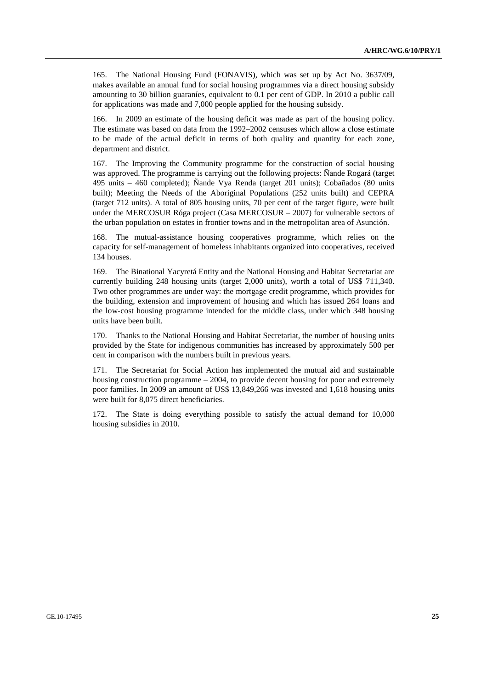165. The National Housing Fund (FONAVIS), which was set up by Act No. 3637/09, makes available an annual fund for social housing programmes via a direct housing subsidy amounting to 30 billion guaraníes, equivalent to 0.1 per cent of GDP. In 2010 a public call for applications was made and 7,000 people applied for the housing subsidy.

166. In 2009 an estimate of the housing deficit was made as part of the housing policy. The estimate was based on data from the 1992–2002 censuses which allow a close estimate to be made of the actual deficit in terms of both quality and quantity for each zone, department and district.

167. The Improving the Community programme for the construction of social housing was approved. The programme is carrying out the following projects: Ñande Rogará (target 495 units – 460 completed); Ñande Vya Renda (target 201 units); Cobañados (80 units built); Meeting the Needs of the Aboriginal Populations (252 units built) and CEPRA (target 712 units). A total of 805 housing units, 70 per cent of the target figure, were built under the MERCOSUR Róga project (Casa MERCOSUR – 2007) for vulnerable sectors of the urban population on estates in frontier towns and in the metropolitan area of Asunción.

The mutual-assistance housing cooperatives programme, which relies on the capacity for self-management of homeless inhabitants organized into cooperatives, received 134 houses.

169. The Binational Yacyretá Entity and the National Housing and Habitat Secretariat are currently building 248 housing units (target 2,000 units), worth a total of US\$ 711,340. Two other programmes are under way: the mortgage credit programme, which provides for the building, extension and improvement of housing and which has issued 264 loans and the low-cost housing programme intended for the middle class, under which 348 housing units have been built.

170. Thanks to the National Housing and Habitat Secretariat, the number of housing units provided by the State for indigenous communities has increased by approximately 500 per cent in comparison with the numbers built in previous years.

171. The Secretariat for Social Action has implemented the mutual aid and sustainable housing construction programme – 2004, to provide decent housing for poor and extremely poor families. In 2009 an amount of US\$ 13,849,266 was invested and 1,618 housing units were built for 8,075 direct beneficiaries.

172. The State is doing everything possible to satisfy the actual demand for 10,000 housing subsidies in 2010.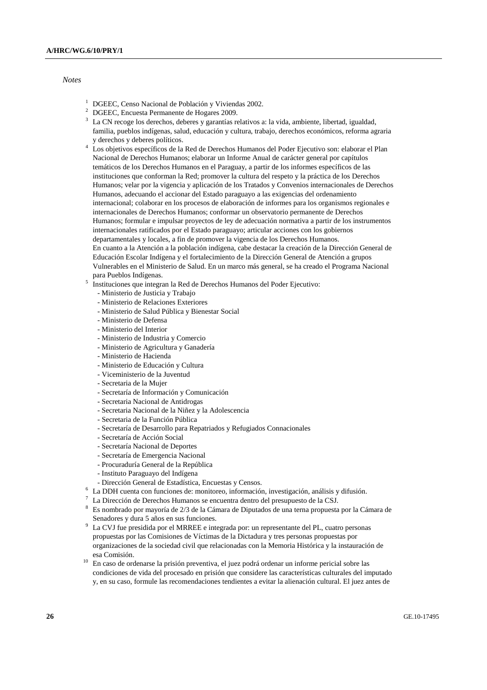#### *Notes*

- <sup>1</sup> DGEEC, Censo Nacional de Población y Viviendas 2002.
- <sup>2</sup> DGEEC, Encuesta Permanente de Hogares 2009.
- <sup>3</sup> La CN recoge los derechos, deberes y garantías relativos a: la vida, ambiente, libertad, igualdad, familia, pueblos indígenas, salud, educación y cultura, trabajo, derechos económicos, reforma agraria
- y derechos y deberes políticos. 4 Los objetivos específicos de la Red de Derechos Humanos del Poder Ejecutivo son: elaborar el Plan Nacional de Derechos Humanos; elaborar un Informe Anual de carácter general por capítulos temáticos de los Derechos Humanos en el Paraguay, a partir de los informes específicos de las instituciones que conforman la Red; promover la cultura del respeto y la práctica de los Derechos Humanos; velar por la vigencia y aplicación de los Tratados y Convenios internacionales de Derechos Humanos, adecuando el accionar del Estado paraguayo a las exigencias del ordenamiento internacional; colaborar en los procesos de elaboración de informes para los organismos regionales e internacionales de Derechos Humanos; conformar un observatorio permanente de Derechos Humanos; formular e impulsar proyectos de ley de adecuación normativa a partir de los instrumentos internacionales ratificados por el Estado paraguayo; articular acciones con los gobiernos departamentales y locales, a fin de promover la vigencia de los Derechos Humanos. En cuanto a la Atención a la población indígena, cabe destacar la creación de la Dirección General de Educación Escolar Indígena y el fortalecimiento de la Dirección General de Atención a grupos Vulnerables en el Ministerio de Salud. En un marco más general, se ha creado el Programa Nacional para Pueblos Indígenas.
- Instituciones que integran la Red de Derechos Humanos del Poder Ejecutivo:
	- Ministerio de Justicia y Trabajo
	- Ministerio de Relaciones Exteriores
	- Ministerio de Salud Pública y Bienestar Social
	- Ministerio de Defensa
	- Ministerio del Interior
	- Ministerio de Industria y Comercio
	- Ministerio de Agricultura y Ganadería
	- Ministerio de Hacienda
	- Ministerio de Educación y Cultura
	- Viceministerio de la Juventud
	- Secretaria de la Mujer
	- Secretaría de Información y Comunicación
	- Secretaria Nacional de Antidrogas
	- Secretaria Nacional de la Niñez y la Adolescencia
	- Secretaria de la Función Pública
	- Secretaría de Desarrollo para Repatriados y Refugiados Connacionales
	- Secretaría de Acción Social
	- Secretaría Nacional de Deportes
	- Secretaría de Emergencia Nacional
	- Procuraduría General de la República
	- Instituto Paraguayo del Indígena
- Dirección General de Estadística, Encuestas y Censos.<br><sup>6</sup> La DDH cuenta con funciones de: monitoreo información
- ULA DDH cuenta con funciones de: monitoreo, información, investigación, análisis y difusión.<br>7 La Dirección de Derechos Humanos se encuentra dentro del presunyesto de la CSI
- La Dirección de Derechos Humanos se encuentra dentro del presupuesto de la CSJ.
- $8$  Es nombrado por mayoría de 2/3 de la Cámara de Diputados de una terna propuesta por la Cámara de Senadores y dura 5 años en sus funciones.<br><sup>9</sup> La CVI fue presidida por el MBBEE e inte
- La CVJ fue presidida por el MRREE e integrada por: un representante del PL, cuatro personas propuestas por las Comisiones de Víctimas de la Dictadura y tres personas propuestas por organizaciones de la sociedad civil que relacionadas con la Memoria Histórica y la instauración de esa Comisión. 10 En caso de ordenarse la prisión preventiva, el juez podrá ordenar un informe pericial sobre las
- condiciones de vida del procesado en prisión que considere las características culturales del imputado y, en su caso, formule las recomendaciones tendientes a evitar la alienación cultural. El juez antes de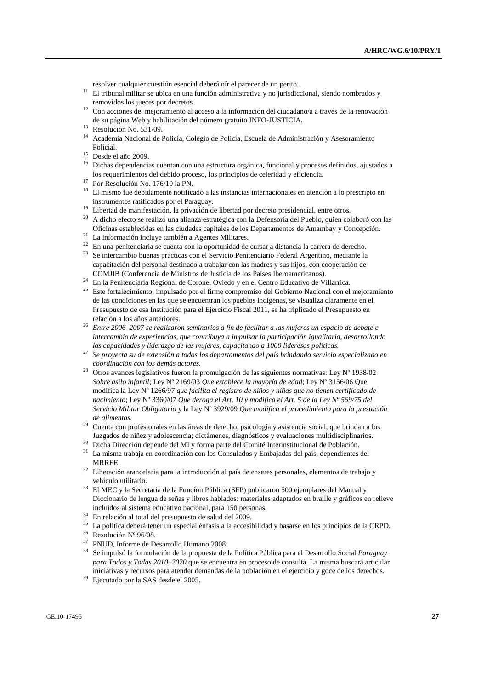- resolver cualquier cuestión esencial deberá oír el parecer de un perito. 11 El tribunal militar se ubica en una función administrativa y no jurisdiccional, siendo nombrados y
- removidos los jueces por decretos. 12 Con acciones de: mejoramiento al acceso a la información del ciudadano/a a través de la renovación de su página Web y habilitación del número gratuito INFO-JUSTICIA.<br>Resolución No. 531/09.
- 
- 14 Academia Nacional de Policía, Colegio de Policía, Escuela de Administración y Asesoramiento Policial. 15 Desde el año 2009.
- 
- <sup>16</sup> Dichas dependencias cuentan con una estructura orgánica, funcional y procesos definidos, ajustados a los requerimientos del debido proceso, los principios de celeridad y eficiencia. $^\mathrm{17}$  Por Resolución No. 176/10 la PN.
- 
- <sup>18</sup> El mismo fue debidamente notificado a las instancias internacionales en atención a lo prescripto en instrumentos ratificados por el Paraguay. 19 Libertad de manifestación, la privación de libertad por decreto presidencial, entre otros.
- 
- 20 A dicho efecto se realizó una alianza estratégica con la Defensoría del Pueblo, quien colaboró con las Oficinas establecidas en las ciudades capitales de los Departamentos de Amambay y Concepción. 21 La información incluye también a Agentes Militares.
- 
- $22$  En una penitenciaria se cuenta con la oportunidad de cursar a distancia la carrera de derecho.
- 23 Se intercambio buenas prácticas con el Servicio Penitenciario Federal Argentino, mediante la capacitación del personal destinado a trabajar con las madres y sus hijos, con cooperación de COMJIB (Conferencia de Ministros de Justicia de los Países Iberoamericanos). 24 En la Penitenciaría Regional de Coronel Oviedo y en el Centro Educativo de Villarrica.
- 
- 25 Este fortalecimiento, impulsado por el firme compromiso del Gobierno Nacional con el mejoramiento de las condiciones en las que se encuentran los pueblos indígenas, se visualiza claramente en el Presupuesto de esa Institución para el Ejercicio Fiscal 2011, se ha triplicado el Presupuesto en
- relación a los años anteriores. 26 *Entre 2006–2007 se realizaron seminarios a fin de facilitar a las mujeres un espacio de debate e intercambio de experiencias, que contribuya a impulsar la participación igualitaria, desarrollando las capacidades y liderazgo de las mujeres, capacitando a 1000 lideresas políticas.* 27 *Se proyecta su de extensión a todos los departamentos del país brindando servicio especializado en*
- 
- *coordinación con los demás actores.* 28 Otros avances legislativos fueron la promulgación de las siguientes normativas: Ley Nº 1938/02 *Sobre asilo infantil*; Ley Nº 2169/03 *Que establece la mayoría de edad*; Ley Nº 3156/06 Que modifica la Ley Nº 1266/97 *que facilita el registro de niños y niñas que no tienen certificado de nacimiento*; Ley Nº 3360/07 *Que deroga el Art. 10 y modifica el Art. 5 de la Ley Nº 569/75 del Servicio Militar Obligatorio* y la Ley Nº 3929/09 *Que modifica el procedimiento para la prestación*
- *de alimentos.* 29 Cuenta con profesionales en las áreas de derecho, psicología y asistencia social, que brindan a los Juzgados de niñez y adolescencia; dictámenes, diagnósticos y evaluaciones multidisciplinarios. 30 Dicha Dirección depende del MI y forma parte del Comité Interinstitucional de Población.
- 
- 31 La misma trabaja en coordinación con los Consulados y Embajadas del país, dependientes del
- MRREE.  $32$  Liberación arancelaria para la introducción al país de enseres personales, elementos de trabajo y
- vehículo utilitario. 33 El MEC y la Secretaria de la Función Pública (SFP) publicaron 500 ejemplares del Manual y Diccionario de lengua de señas y libros hablados: materiales adaptados en braille y gráficos en relieve incluidos al sistema educativo nacional, para 150 personas. 34 En relación al total del presupuesto de salud del 2009.
- 
- <sup>35</sup> La política deberá tener un especial énfasis a la accesibilidad y basarse en los principios de la CRPD.<br><sup>36</sup> Pesclusión Nº 06/09
- Resolución Nº 96/08.
- $37$  PNUD, Informe de Desarrollo Humano 2008.<br> $38$  Se impulsó la formulación de la propuesta de a
- 38 Se impulsó la formulación de la propuesta de la Política Pública para el Desarrollo Social *Paraguay para Todos y Todas 2010–2020* que se encuentra en proceso de consulta. La misma buscará articular iniciativas y recursos para atender demandas de la población en el ejercicio y goce de los derechos. 39 Ejecutado por la SAS desde el 2005.
-